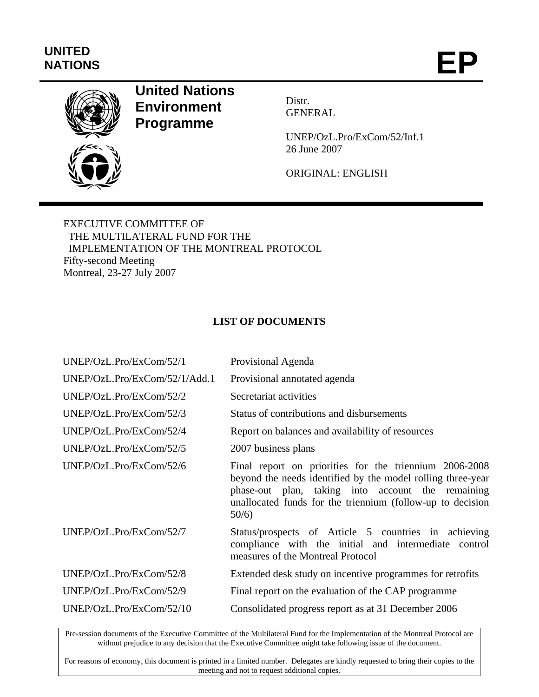## **UNITED**  UNITED<br>NATIONS **EP**



## **United Nations Environment Programme**

Distr. **GENERAL** 

UNEP/OzL.Pro/ExCom/52/Inf.1 26 June 2007

ORIGINAL: ENGLISH

EXECUTIVE COMMITTEE OF THE MULTILATERAL FUND FOR THE IMPLEMENTATION OF THE MONTREAL PROTOCOL Fifty-second Meeting Montreal, 23-27 July 2007

## **LIST OF DOCUMENTS**

| UNEP/OzL.Pro/ExCom/52/1       | Provisional Agenda                                                                                                                                                                                                                               |
|-------------------------------|--------------------------------------------------------------------------------------------------------------------------------------------------------------------------------------------------------------------------------------------------|
| UNEP/OzL.Pro/ExCom/52/1/Add.1 | Provisional annotated agenda                                                                                                                                                                                                                     |
| UNEP/OzL.Pro/ExCom/52/2       | Secretariat activities                                                                                                                                                                                                                           |
| UNEP/OzL.Pro/ExCom/52/3       | Status of contributions and disbursements                                                                                                                                                                                                        |
| UNEP/OzL.Pro/ExCom/52/4       | Report on balances and availability of resources                                                                                                                                                                                                 |
| UNEP/OzL.Pro/ExCom/52/5       | 2007 business plans                                                                                                                                                                                                                              |
| UNEP/OzL.Pro/ExCom/52/6       | Final report on priorities for the triennium 2006-2008<br>beyond the needs identified by the model rolling three-year<br>phase-out plan, taking into account the remaining<br>unallocated funds for the triennium (follow-up to decision<br>50/6 |
| UNEP/OzL.Pro/ExCom/52/7       | Status/prospects of Article 5 countries in achieving<br>compliance with the initial and intermediate control<br>measures of the Montreal Protocol                                                                                                |
| UNEP/OzL.Pro/ExCom/52/8       | Extended desk study on incentive programmes for retrofits                                                                                                                                                                                        |
| UNEP/OzL.Pro/ExCom/52/9       | Final report on the evaluation of the CAP programme                                                                                                                                                                                              |
| UNEP/OzL.Pro/ExCom/52/10      | Consolidated progress report as at 31 December 2006                                                                                                                                                                                              |

Pre-session documents of the Executive Committee of the Multilateral Fund for the Implementation of the Montreal Protocol are without prejudice to any decision that the Executive Committee might take following issue of the document.

For reasons of economy, this document is printed in a limited number. Delegates are kindly requested to bring their copies to the meeting and not to request additional copies.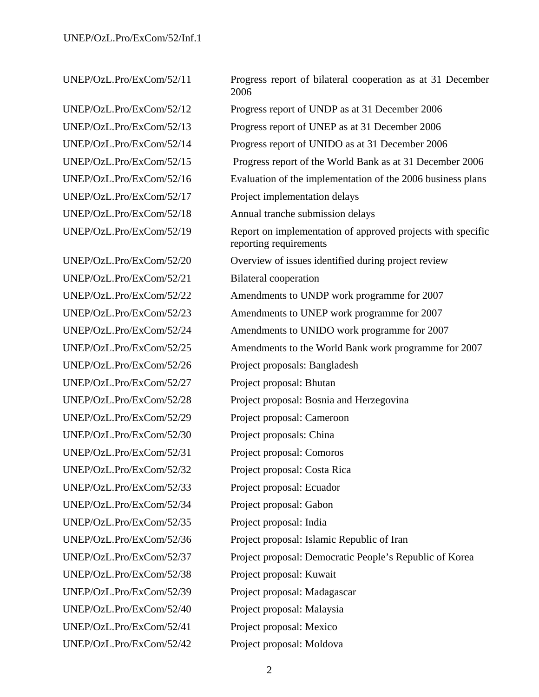UNEP/OzL.Pro/ExCom/52/21 Bilateral cooperation UNEP/OzL.Pro/ExCom/52/26 Project proposals: Bangladesh UNEP/OzL.Pro/ExCom/52/27 Project proposal: Bhutan UNEP/OzL.Pro/ExCom/52/29 Project proposal: Cameroon UNEP/OzL.Pro/ExCom/52/30 Project proposals: China UNEP/OzL.Pro/ExCom/52/31 Project proposal: Comoros UNEP/OzL.Pro/ExCom/52/32 Project proposal: Costa Rica UNEP/OzL.Pro/ExCom/52/33 Project proposal: Ecuador UNEP/OzL.Pro/ExCom/52/34 Project proposal: Gabon UNEP/OzL.Pro/ExCom/52/35 Project proposal: India UNEP/OzL.Pro/ExCom/52/38 Project proposal: Kuwait UNEP/OzL.Pro/ExCom/52/39 Project proposal: Madagascar UNEP/OzL.Pro/ExCom/52/40 Project proposal: Malaysia UNEP/OzL.Pro/ExCom/52/41 Project proposal: Mexico

UNEP/OzL.Pro/ExCom/52/11 Progress report of bilateral cooperation as at 31 December 2006 UNEP/OzL.Pro/ExCom/52/12 Progress report of UNDP as at 31 December 2006 UNEP/OzL.Pro/ExCom/52/13 Progress report of UNEP as at 31 December 2006 UNEP/OzL.Pro/ExCom/52/14 Progress report of UNIDO as at 31 December 2006 UNEP/OzL.Pro/ExCom/52/15 Progress report of the World Bank as at 31 December 2006 UNEP/OzL.Pro/ExCom/52/16 Evaluation of the implementation of the 2006 business plans UNEP/OzL.Pro/ExCom/52/17 Project implementation delays UNEP/OzL.Pro/ExCom/52/18 Annual tranche submission delays UNEP/OzL.Pro/ExCom/52/19 Report on implementation of approved projects with specific reporting requirements UNEP/OzL.Pro/ExCom/52/20 Overview of issues identified during project review UNEP/OzL.Pro/ExCom/52/22 Amendments to UNDP work programme for 2007 UNEP/OzL.Pro/ExCom/52/23 Amendments to UNEP work programme for 2007 UNEP/OzL.Pro/ExCom/52/24 Amendments to UNIDO work programme for 2007 UNEP/OzL.Pro/ExCom/52/25 Amendments to the World Bank work programme for 2007 UNEP/OzL.Pro/ExCom/52/28 Project proposal: Bosnia and Herzegovina UNEP/OzL.Pro/ExCom/52/36 Project proposal: Islamic Republic of Iran UNEP/OzL.Pro/ExCom/52/37 Project proposal: Democratic People's Republic of Korea UNEP/OzL.Pro/ExCom/52/42 Project proposal: Moldova